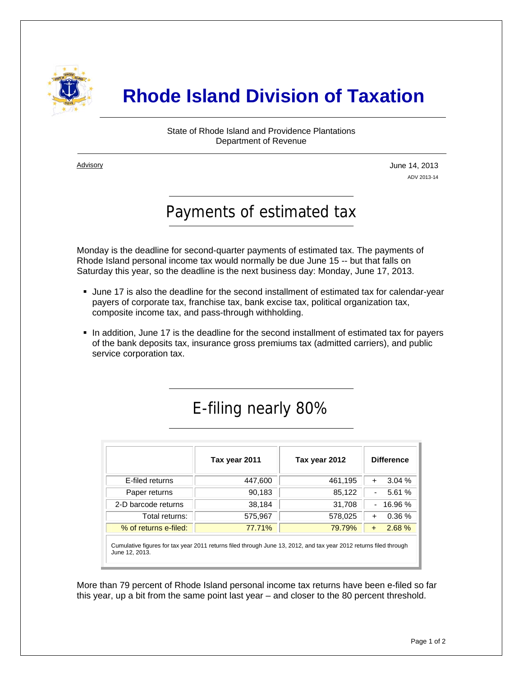

## **Rhode Island Division of Taxation**

State of Rhode Island and Providence Plantations Department of Revenue

**Advisory** 

j

June 14, 2013 ADV 2013-14

## Payments of estimated tax

Monday is the deadline for second-quarter payments of estimated tax. The payments of Rhode Island personal income tax would normally be due June 15 -- but that falls on Saturday this year, so the deadline is the next business day: Monday, June 17, 2013.

- June 17 is also the deadline for the second installment of estimated tax for calendar-year payers of corporate tax, franchise tax, bank excise tax, political organization tax, composite income tax, and pass-through withholding.
- In addition, June 17 is the deadline for the second installment of estimated tax for payers of the bank deposits tax, insurance gross premiums tax (admitted carriers), and public service corporation tax.

## E-filing nearly 80%

|                                                                                                                                     | Tax year 2011 | Tax year 2012 | <b>Difference</b>         |
|-------------------------------------------------------------------------------------------------------------------------------------|---------------|---------------|---------------------------|
| E-filed returns                                                                                                                     | 447,600       | 461,195       | $3.04\%$<br>$\ddot{}$     |
| Paper returns                                                                                                                       | 90,183        | 85,122        | 5.61 %<br>-               |
| 2-D barcode returns                                                                                                                 | 38,184        | 31,708        | 16.96 %<br>$\blacksquare$ |
| Total returns:                                                                                                                      | 575,967       | 578,025       | 0.36%<br>$\ddot{}$        |
| % of returns e-filed:                                                                                                               | 77.71%        | 79.79%        | 2.68 %<br>$+$             |
| Cumulative figures for tax year 2011 returns filed through June 13, 2012, and tax year 2012 returns filed through<br>June 12, 2013. |               |               |                           |

More than 79 percent of Rhode Island personal income tax returns have been e-filed so far this year, up a bit from the same point last year – and closer to the 80 percent threshold.